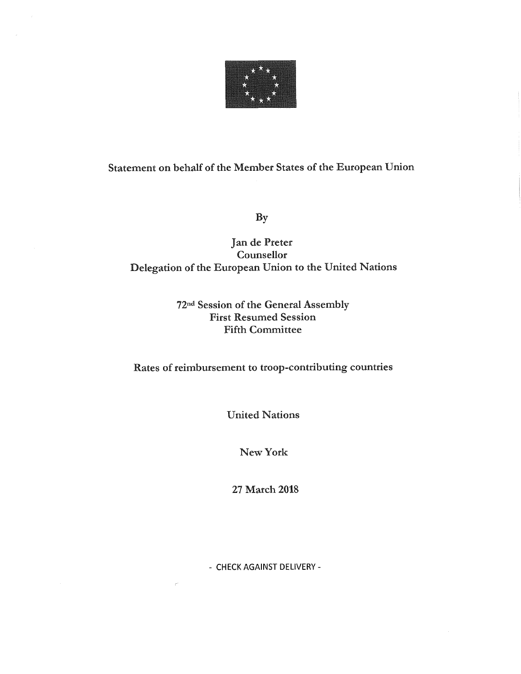

# Statement on behalf of the Member States of the European Union

By

## Jan de Preter Counsellor Delegation of the European Union to the United Nations

### 72na Session of the General Assembly First Resumed Session Fifth Committee

Rates of reimbursement to troop-contributing countries

United Nations

New York

27 March 2018

- CHECK AGAINST DELIVERY -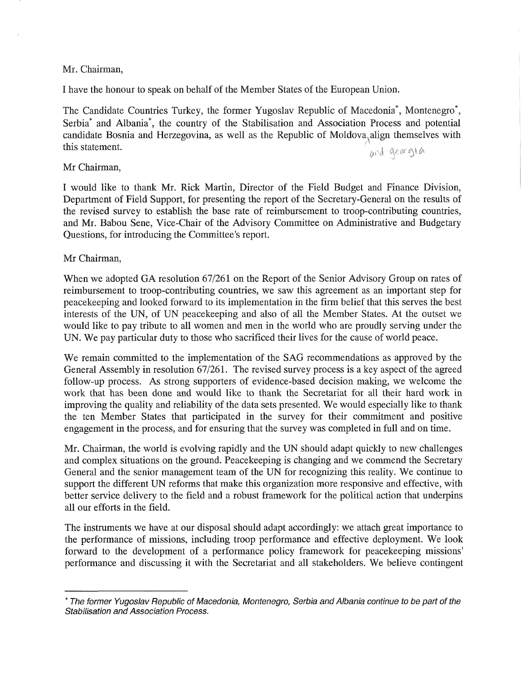#### Mr. Chairman,

I have the honour to speak on behalf of the Member States of the European Union.

The Candidate Countries Turkey, the former Yugoslav Republic of Macedonia\*, Montenegro\*, Serbia\* and Albania\*, the country of the Stabilisation and Association Process and potential candidate Bosnia and Herzegovina, as well as the Republic of Moldova $\alpha$ align themselves with this statement.  $\int_{\mathbb{R}^2} \mathbb{R}^d \cdot \mathbb{R}^d$ 

#### Mr Chairman,

I would like to thank Mr. Rick Martin, Director of the Field Budget and Finance Division, Department of Field Support, for presenting the report of the Secretary-General on the results of the revised survey to establish the base rate of reimbursement to troop-contributing countries, and Mr. Babou Sene, Vice-Chair of the Advisory Committee on Administrative and Budgetary Questions, for introducing the Committee's report.

#### Mr Chairman,

When we adopted GA resolution 67/261 on the Report of the Senior Advisory Group on rates of reimbursement to troop-contributing countries, we saw this agreement as an important step for peacekeeping and looked forward to its implementation in the firm belief that this serves the best interests of the UN, of UN peacekeeping and also of all the Member States. At the outset we would like to pay tribute to all women and men in the world who are proudly serving under the UN. We pay particular duty to those who sacrificed their lives for the cause of world peace.

We remain committed to the implementation of the SAG recommendations as approved by the General Assembly in resolution 67/261. The revised survey process is a key aspect of the agreed follow-up process. As strong supporters of evidence-based decision making, we welcome the work that has been done and would like to thank the Secretariat for all their hard work in improving the quality and reliability of the data sets presented. We would especially like to thank the ten Member States that participated in the survey for their commitment and positive engagement in the process, and for ensuring that the survey was completed in full and on time.

Mr. Chairman, the world is evolving rapidly and the UN should adapt quickly to new challenges and complex situations on the ground. Peacekeeping is changing and we commend the Secretary General and the senior management team of the UN for recognizing this reality. We continue to support the different UN reforms that make this organization more responsive and effective, with better service delivery to the field and a robust framework for the political action that underpins all our efforts in the field.

The instruments we have at our disposal should adapt accordingly: we attach great importance to the performance of missions, including troop performance and effective deployment. We look forward to the development of a performance policy framework for peacekeeping missions' performance and discussing it with the Secretariat and all stakeholders. We believe contingent

<sup>\*</sup> The former Yugoslav Republic of Macedonia, Montenegro, Serbia and Albania continue to be part of the Stabilisation and Association Process.